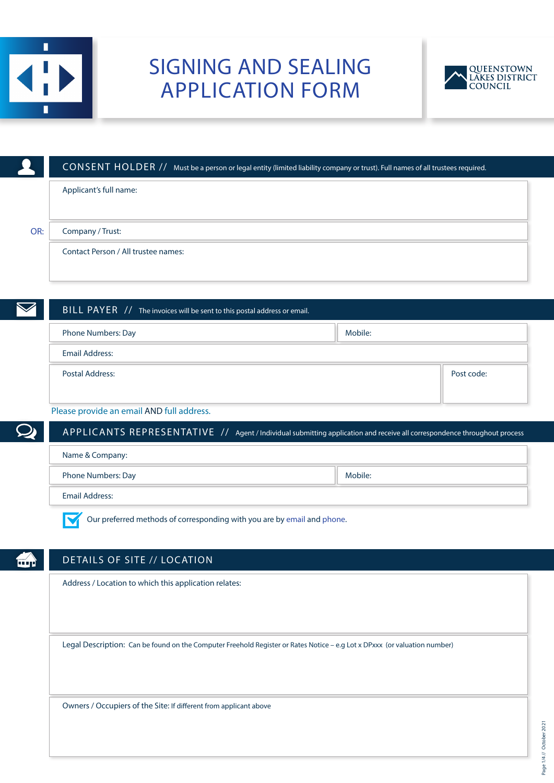

# SIGNING AND SEALING APPLICATION FORM



|     | CONSENT HOLDER // Must be a person or legal entity (limited liability company or trust). Full names of all trustees required. |         |            |
|-----|-------------------------------------------------------------------------------------------------------------------------------|---------|------------|
|     | Applicant's full name:                                                                                                        |         |            |
|     |                                                                                                                               |         |            |
| OR: | Company / Trust:                                                                                                              |         |            |
|     | Contact Person / All trustee names:                                                                                           |         |            |
|     |                                                                                                                               |         |            |
|     |                                                                                                                               |         |            |
|     | $BILL$ $PAYER$ $7/$ The invoices will be sent to this postal address or email.                                                |         |            |
|     | Phone Numbers: Day                                                                                                            | Mobile: |            |
|     | <b>Email Address:</b>                                                                                                         |         |            |
|     | <b>Postal Address:</b>                                                                                                        |         | Post code: |
|     |                                                                                                                               |         |            |
|     | Please provide an email AND full address.                                                                                     |         |            |

APPLICANTS REPRESENTATIVE // Agent / Individual submitting application and receive all correspondence throughout process

| Name & Company:       |         |
|-----------------------|---------|
| Phone Numbers: Day    | Mobile: |
| <b>Email Address:</b> |         |

M Our preferred methods of corresponding with you are by email and phone.

## DETAILS OF SITE // LOCATION

m,

Address / Location to which this application relates:

Legal Description: Can be found on the Computer Freehold Register or Rates Notice – e.g Lot x DPxxx (or valuation number)

Owners / Occupiers of the Site: If different from applicant above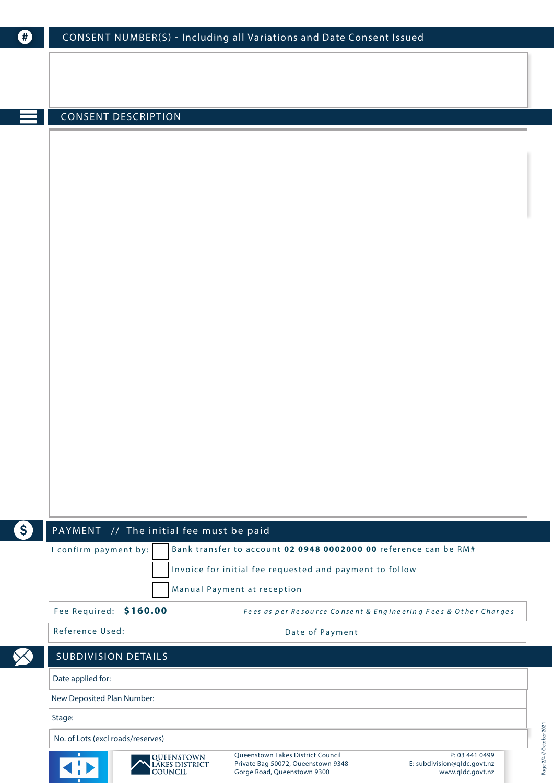| Ð            | CONSENT NUMBER(S) - Including all Variations and Date Consent Issued |                                         |                                                                   |                                                                  |  |
|--------------|----------------------------------------------------------------------|-----------------------------------------|-------------------------------------------------------------------|------------------------------------------------------------------|--|
|              |                                                                      |                                         |                                                                   |                                                                  |  |
|              |                                                                      |                                         |                                                                   |                                                                  |  |
|              |                                                                      |                                         |                                                                   |                                                                  |  |
|              | <b>CONSENT DESCRIPTION</b>                                           |                                         |                                                                   |                                                                  |  |
|              |                                                                      |                                         |                                                                   |                                                                  |  |
|              |                                                                      |                                         |                                                                   |                                                                  |  |
|              |                                                                      |                                         |                                                                   |                                                                  |  |
|              |                                                                      |                                         |                                                                   |                                                                  |  |
|              |                                                                      |                                         |                                                                   |                                                                  |  |
|              |                                                                      |                                         |                                                                   |                                                                  |  |
|              |                                                                      |                                         |                                                                   |                                                                  |  |
|              |                                                                      |                                         |                                                                   |                                                                  |  |
|              |                                                                      |                                         |                                                                   |                                                                  |  |
|              |                                                                      |                                         |                                                                   |                                                                  |  |
|              |                                                                      |                                         |                                                                   |                                                                  |  |
|              |                                                                      |                                         |                                                                   |                                                                  |  |
|              |                                                                      |                                         |                                                                   |                                                                  |  |
|              |                                                                      |                                         |                                                                   |                                                                  |  |
|              |                                                                      |                                         |                                                                   |                                                                  |  |
|              |                                                                      |                                         |                                                                   |                                                                  |  |
|              |                                                                      |                                         |                                                                   |                                                                  |  |
|              |                                                                      |                                         |                                                                   |                                                                  |  |
| $\mathbf{S}$ | PAYMENT // The initial fee must be paid                              |                                         |                                                                   |                                                                  |  |
|              | I confirm payment by:                                                |                                         |                                                                   | Bank transfer to account 02 0948 0002000 00 reference can be RM# |  |
|              |                                                                      |                                         | Invoice for initial fee requested and payment to follow           |                                                                  |  |
|              | Fee Required: \$160.00                                               | Manual Payment at reception             |                                                                   |                                                                  |  |
|              | Reference Used:                                                      |                                         | Date of Payment                                                   | Fees as per Resource Consent & Engineering Fees & Other Charges  |  |
|              |                                                                      |                                         |                                                                   |                                                                  |  |
|              | <b>SUBDIVISION DETAILS</b>                                           |                                         |                                                                   |                                                                  |  |
|              | Date applied for:                                                    |                                         |                                                                   |                                                                  |  |
|              | New Deposited Plan Number:<br>Stage:                                 |                                         |                                                                   |                                                                  |  |
|              | No. of Lots (excl roads/reserves)                                    |                                         |                                                                   |                                                                  |  |
|              |                                                                      |                                         | Queenstown Lakes District Council                                 | P: 03 441 0499                                                   |  |
|              | $\blacktriangleleft$ :                                               | QUEENSTOWN<br>LAKES DISTRICT<br>COUNCIL | Private Bag 50072, Queenstown 9348<br>Gorge Road, Queenstown 9300 | E: subdivision@qldc.govt.nz<br>www.qldc.govt.nz                  |  |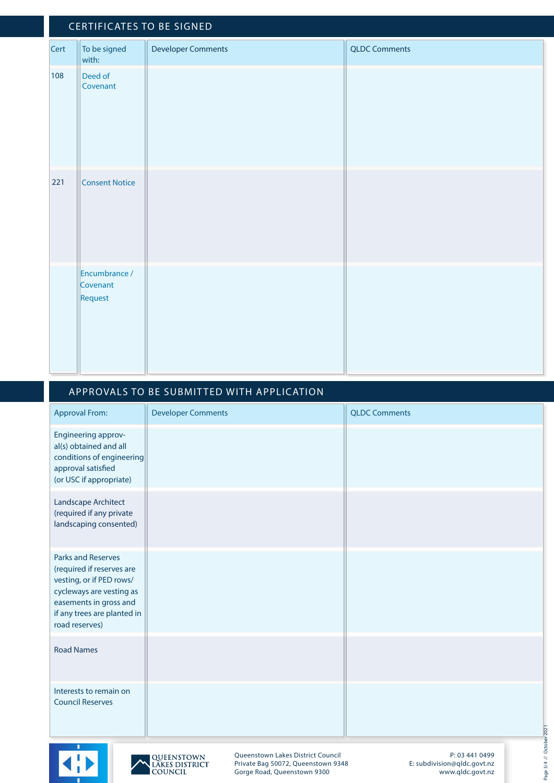## CERTIFICATES TO BE SIGNED

| Cert | To be signed<br>with:                | <b>Developer Comments</b> | <b>QLDC</b> Comments |
|------|--------------------------------------|---------------------------|----------------------|
| 108  | Deed of<br>Covenant                  |                           |                      |
| 221  | <b>Consent Notice</b>                |                           |                      |
|      | Encumbrance /<br>Covenant<br>Request |                           |                      |

# APPROVALS TO BE SUBMITTED WITH APPLICATION

| <b>Approval From:</b>                                                                                                                                                                     | <b>Developer Comments</b>               |                                                                                                        | <b>QLDC Comments</b>                                                                          |
|-------------------------------------------------------------------------------------------------------------------------------------------------------------------------------------------|-----------------------------------------|--------------------------------------------------------------------------------------------------------|-----------------------------------------------------------------------------------------------|
| Engineering approv-<br>al(s) obtained and all<br>conditions of engineering<br>approval satisfied<br>(or USC if appropriate)                                                               |                                         |                                                                                                        |                                                                                               |
| Landscape Architect<br>(required if any private<br>landscaping consented)                                                                                                                 |                                         |                                                                                                        |                                                                                               |
| <b>Parks and Reserves</b><br>(required if reserves are<br>vesting, or if PED rows/<br>cycleways are vesting as<br>easements in gross and<br>if any trees are planted in<br>road reserves) |                                         |                                                                                                        |                                                                                               |
| <b>Road Names</b>                                                                                                                                                                         |                                         |                                                                                                        |                                                                                               |
| Interests to remain on<br><b>Council Reserves</b>                                                                                                                                         |                                         |                                                                                                        |                                                                                               |
|                                                                                                                                                                                           | QUEENSTOWN<br>Lakes district<br>COUNCIL | Queenstown Lakes District Council<br>Private Bag 50072, Queenstown 9348<br>Gorge Road, Queenstown 9300 | Page 3/4 // October 2021<br>P: 03 441 0499<br>E: subdivision@qldc.govt.nz<br>www.qldc.govt.nz |